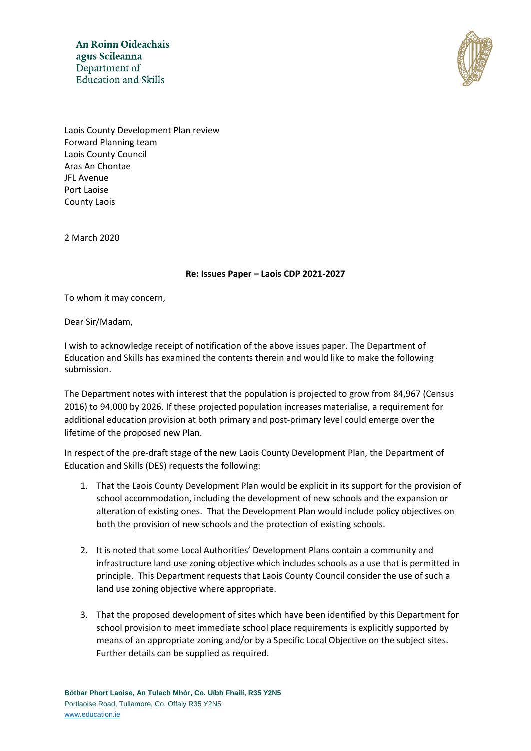An Roinn Oideachais agus Scileanna Department of **Education and Skills** 



Laois County Development Plan review Forward Planning team Laois County Council Aras An Chontae JFL Avenue Port Laoise County Laois

2 March 2020

**Re: Issues Paper – Laois CDP 2021-2027**

To whom it may concern,

Dear Sir/Madam,

I wish to acknowledge receipt of notification of the above issues paper. The Department of Education and Skills has examined the contents therein and would like to make the following submission.

The Department notes with interest that the population is projected to grow from 84,967 (Census 2016) to 94,000 by 2026. If these projected population increases materialise, a requirement for additional education provision at both primary and post-primary level could emerge over the lifetime of the proposed new Plan.

In respect of the pre-draft stage of the new Laois County Development Plan, the Department of Education and Skills (DES) requests the following:

- 1. That the Laois County Development Plan would be explicit in its support for the provision of school accommodation, including the development of new schools and the expansion or alteration of existing ones. That the Development Plan would include policy objectives on both the provision of new schools and the protection of existing schools.
- 2. It is noted that some Local Authorities' Development Plans contain a community and infrastructure land use zoning objective which includes schools as a use that is permitted in principle. This Department requests that Laois County Council consider the use of such a land use zoning objective where appropriate.
- 3. That the proposed development of sites which have been identified by this Department for school provision to meet immediate school place requirements is explicitly supported by means of an appropriate zoning and/or by a Specific Local Objective on the subject sites. Further details can be supplied as required.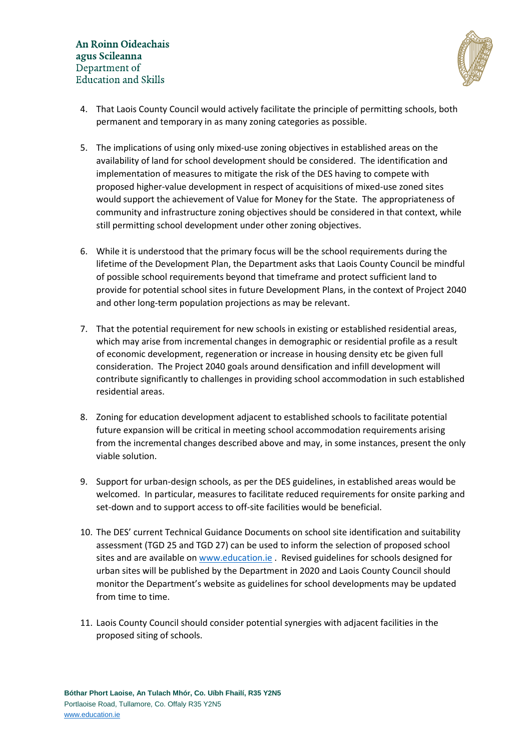

- 4. That Laois County Council would actively facilitate the principle of permitting schools, both permanent and temporary in as many zoning categories as possible.
- 5. The implications of using only mixed-use zoning objectives in established areas on the availability of land for school development should be considered. The identification and implementation of measures to mitigate the risk of the DES having to compete with proposed higher-value development in respect of acquisitions of mixed-use zoned sites would support the achievement of Value for Money for the State. The appropriateness of community and infrastructure zoning objectives should be considered in that context, while still permitting school development under other zoning objectives.
- 6. While it is understood that the primary focus will be the school requirements during the lifetime of the Development Plan, the Department asks that Laois County Council be mindful of possible school requirements beyond that timeframe and protect sufficient land to provide for potential school sites in future Development Plans, in the context of Project 2040 and other long-term population projections as may be relevant.
- 7. That the potential requirement for new schools in existing or established residential areas, which may arise from incremental changes in demographic or residential profile as a result of economic development, regeneration or increase in housing density etc be given full consideration. The Project 2040 goals around densification and infill development will contribute significantly to challenges in providing school accommodation in such established residential areas.
- 8. Zoning for education development adjacent to established schools to facilitate potential future expansion will be critical in meeting school accommodation requirements arising from the incremental changes described above and may, in some instances, present the only viable solution.
- 9. Support for urban-design schools, as per the DES guidelines, in established areas would be welcomed. In particular, measures to facilitate reduced requirements for onsite parking and set-down and to support access to off-site facilities would be beneficial.
- 10. The DES' current Technical Guidance Documents on school site identification and suitability assessment (TGD 25 and TGD 27) can be used to inform the selection of proposed school sites and are available on [www.education.ie](http://www.education.ie/) . Revised guidelines for schools designed for urban sites will be published by the Department in 2020 and Laois County Council should monitor the Department's website as guidelines for school developments may be updated from time to time.
- 11. Laois County Council should consider potential synergies with adjacent facilities in the proposed siting of schools.